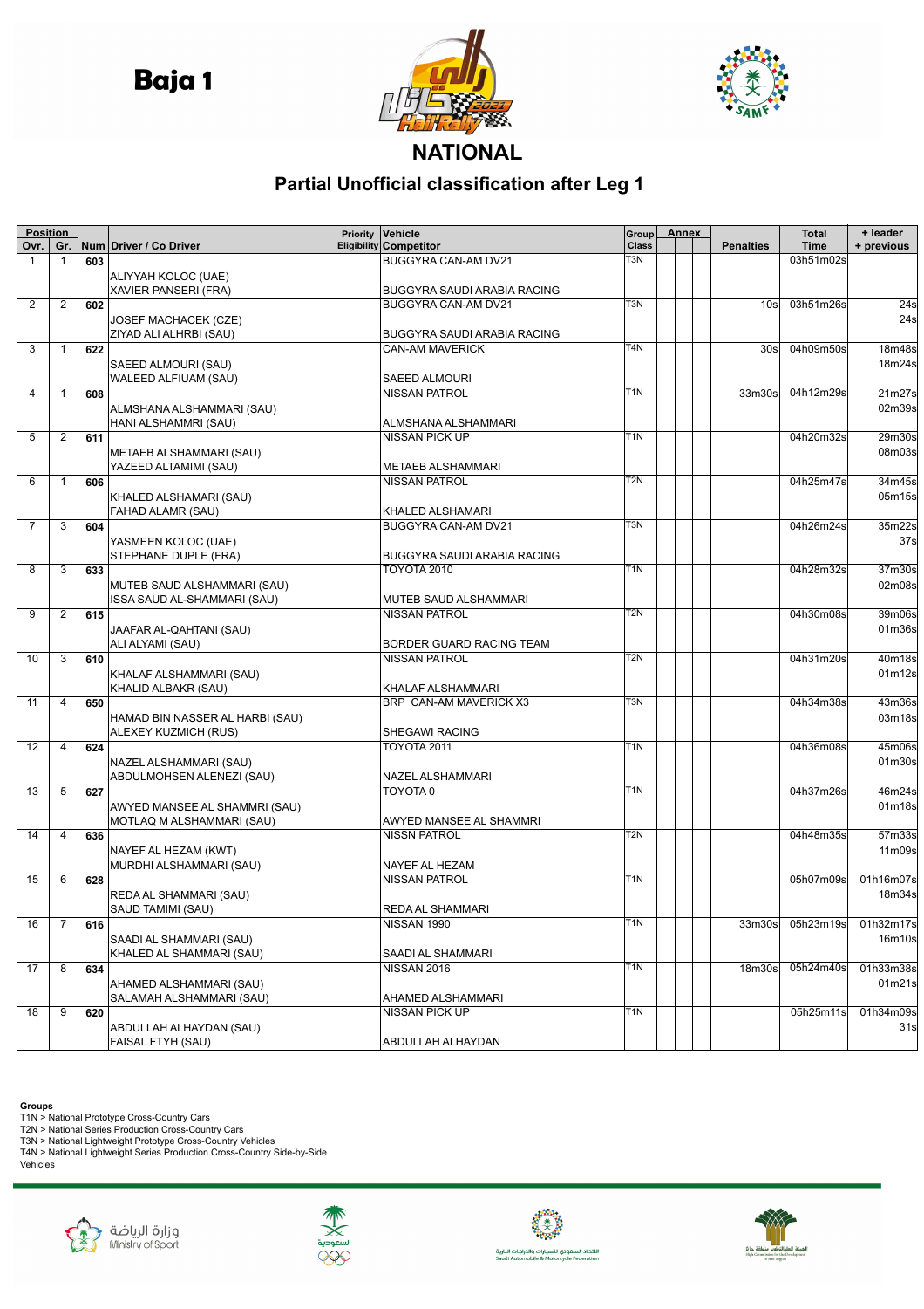Baja 1





## **NATIONAL**

## **Partial Unofficial classification after Leg 1**

| <b>Position</b> |                |     |                                 | Priority | Vehicle                            | Group            | <b>Annex</b> |                    | <b>Total</b>               | + leader        |
|-----------------|----------------|-----|---------------------------------|----------|------------------------------------|------------------|--------------|--------------------|----------------------------|-----------------|
| Ovr.            | Gr.            |     | Num Driver / Co Driver          |          | Eligibility Competitor             | Class            |              | <b>Penalties</b>   | <b>Time</b>                | + previous      |
| $\mathbf{1}$    | $\mathbf{1}$   | 603 |                                 |          | BUGGYRA CAN-AM DV21                | T3N              |              |                    | 03h51m02s                  |                 |
|                 |                |     | ALIYYAH KOLOC (UAE)             |          |                                    |                  |              |                    |                            |                 |
|                 |                |     | XAVIER PANSERI (FRA)            |          | BUGGYRA SAUDI ARABIA RACING        |                  |              |                    |                            |                 |
| 2               | $\overline{2}$ | 602 |                                 |          | BUGGYRA CAN-AM DV21                | T3N              |              | 10 <sub>s</sub>    | 03h51m26s                  | 24s             |
|                 |                |     | JOSEF MACHACEK (CZE)            |          |                                    |                  |              |                    |                            | 24s             |
|                 |                |     | ZIYAD ALI ALHRBI (SAU)          |          | <b>BUGGYRA SAUDI ARABIA RACING</b> |                  |              |                    |                            |                 |
| 3               | 1              | 622 |                                 |          | CAN-AM MAVERICK                    | T4N              |              | 30sl               | 04h09m50s                  | 18m48s          |
|                 |                |     | SAEED ALMOURI (SAU)             |          |                                    |                  |              |                    |                            | 18m24s          |
|                 |                |     | WALEED ALFIUAM (SAU)            |          | <b>SAEED ALMOURI</b>               |                  |              |                    |                            |                 |
| 4               | $\mathbf{1}$   | 608 |                                 |          | <b>NISSAN PATROL</b>               | T <sub>1</sub> N |              | 33 <sub>m30s</sub> | 04h12m29s                  | 21m27s          |
|                 |                |     | ALMSHANA ALSHAMMARI (SAU)       |          |                                    |                  |              |                    |                            | 02m39s          |
|                 |                |     | HANI ALSHAMMRI (SAU)            |          | ALMSHANA ALSHAMMARI                |                  |              |                    |                            |                 |
| 5               | 2              | 611 |                                 |          | <b>NISSAN PICK UP</b>              | T1N              |              |                    | 04h20m32s                  | 29m30s          |
|                 |                |     |                                 |          |                                    |                  |              |                    |                            | 08m03s          |
|                 |                |     | METAEB ALSHAMMARI (SAU)         |          |                                    |                  |              |                    |                            |                 |
| 6               |                |     | YAZEED ALTAMIMI (SAU)           |          | <b>METAEB ALSHAMMARI</b>           | T2N              |              |                    |                            |                 |
|                 | 1              | 606 |                                 |          | <b>NISSAN PATROL</b>               |                  |              |                    | 04h25m47s                  | 34m45s          |
|                 |                |     | KHALED ALSHAMARI (SAU)          |          |                                    |                  |              |                    |                            | 05m15s          |
|                 |                |     | FAHAD ALAMR (SAU)               |          | KHALED ALSHAMARI                   |                  |              |                    |                            |                 |
| 7               | 3              | 604 |                                 |          | BUGGYRA CAN-AM DV21                | T <sub>3</sub> N |              |                    | 04h26m24s                  | 35m22s          |
|                 |                |     | YASMEEN KOLOC (UAE)             |          |                                    |                  |              |                    |                            | 37 <sub>s</sub> |
|                 |                |     | STEPHANE DUPLE (FRA)            |          | BUGGYRA SAUDI ARABIA RACING        |                  |              |                    |                            |                 |
| 8               | 3              | 633 |                                 |          | <b>TOYOTA 2010</b>                 | T <sub>1</sub> N |              |                    | 04h28m32s                  | 37m30s          |
|                 |                |     | MUTEB SAUD ALSHAMMARI (SAU)     |          |                                    |                  |              |                    |                            | 02m08s          |
|                 |                |     | ISSA SAUD AL-SHAMMARI (SAU)     |          | <b>MUTEB SAUD ALSHAMMARI</b>       |                  |              |                    |                            |                 |
| 9               | 2              | 615 |                                 |          | <b>NISSAN PATROL</b>               | T <sub>2N</sub>  |              |                    | 04h30m08s                  | 39m06s          |
|                 |                |     | JAAFAR AL-QAHTANI (SAU)         |          |                                    |                  |              |                    |                            | 01m36s          |
|                 |                |     | ALI ALYAMI (SAU)                |          | BORDER GUARD RACING TEAM           |                  |              |                    |                            |                 |
| 10              | 3              | 610 |                                 |          | <b>NISSAN PATROL</b>               | T <sub>2</sub> N |              |                    | 04h31m20s                  | 40m18s          |
|                 |                |     | KHALAF ALSHAMMARI (SAU)         |          |                                    |                  |              |                    |                            | 01m12s          |
|                 |                |     | KHALID ALBAKR (SAU)             |          | KHALAF ALSHAMMARI                  |                  |              |                    |                            |                 |
| 11              | 4              | 650 |                                 |          | BRP CAN-AM MAVERICK X3             | T3N              |              |                    | 04h34m38s                  | 43m36s          |
|                 |                |     | HAMAD BIN NASSER AL HARBI (SAU) |          |                                    |                  |              |                    |                            | 03m18s          |
|                 |                |     | ALEXEY KUZMICH (RUS)            |          | <b>SHEGAWI RACING</b>              |                  |              |                    |                            |                 |
| 12              | 4              | 624 |                                 |          | <b>TOYOTA 2011</b>                 | T <sub>1</sub> N |              |                    | 04h36m08s                  | 45m06s          |
|                 |                |     | NAZEL ALSHAMMARI (SAU)          |          |                                    |                  |              |                    |                            | 01m30s          |
|                 |                |     | ABDULMOHSEN ALENEZI (SAU)       |          | NAZEL ALSHAMMARI                   |                  |              |                    |                            |                 |
| 13              | 5              | 627 |                                 |          | TOYOTA 0                           | T1N              |              |                    | 04h37m26s                  | 46m24s          |
|                 |                |     | AWYED MANSEE AL SHAMMRI (SAU)   |          |                                    |                  |              |                    |                            | 01m18s          |
|                 |                |     | MOTLAQ M ALSHAMMARI (SAU)       |          | AWYED MANSEE AL SHAMMRI            |                  |              |                    |                            |                 |
| 14              | 4              | 636 |                                 |          | <b>NISSN PATROL</b>                | T2N              |              |                    | 04h48m35s                  | 57m33s          |
|                 |                |     | NAYEF AL HEZAM (KWT)            |          |                                    |                  |              |                    |                            | 11m09s          |
|                 |                |     | MURDHI ALSHAMMARI (SAU)         |          | NAYEF AL HEZAM                     |                  |              |                    |                            |                 |
| 15              | 6              | 628 |                                 |          | <b>NISSAN PATROL</b>               | T <sub>1</sub> N |              |                    | 05h07m09s                  | 01h16m07s       |
|                 |                |     | REDA AL SHAMMARI (SAU)          |          |                                    |                  |              |                    |                            | 18m34s          |
|                 |                |     | SAUD TAMIMI (SAU)               |          | REDA AL SHAMMARI                   |                  |              |                    |                            |                 |
|                 | $16$ 7 616     |     |                                 |          | <b>NISSAN 1990</b>                 | T <sub>1N</sub>  |              |                    | 33m30s 05h23m19s 01h32m17s |                 |
|                 |                |     | SAADI AL SHAMMARI (SAU)         |          |                                    |                  |              |                    |                            | 16m10s          |
|                 |                |     | KHALED AL SHAMMARI (SAU)        |          | SAADI AL SHAMMARI                  |                  |              |                    |                            |                 |
| 17              | 8              | 634 |                                 |          | <b>NISSAN 2016</b>                 | T <sub>1</sub> N |              | 18 <sub>m30s</sub> | 05h24m40s                  | 01h33m38s       |
|                 |                |     | AHAMED ALSHAMMARI (SAU)         |          |                                    |                  |              |                    |                            | 01m21s          |
|                 |                |     | SALAMAH ALSHAMMARI (SAU)        |          | AHAMED ALSHAMMARI                  |                  |              |                    |                            |                 |
| 18              | 9              | 620 |                                 |          | <b>NISSAN PICK UP</b>              | T <sub>1</sub> N |              |                    | 05h25m11s                  | 01h34m09s       |
|                 |                |     | ABDULLAH ALHAYDAN (SAU)         |          |                                    |                  |              |                    |                            | 31s             |
|                 |                |     | FAISAL FTYH (SAU)               |          | ABDULLAH ALHAYDAN                  |                  |              |                    |                            |                 |

**Groups**<br>T1N > National Prototype Cross-Country Cars<br>T2N > National Series Production Cross-Country Cars<br>T3N > National Lightweight Prototype Cross-Country Vehicles<br>T4N > National Lightweight Series Production Cross-Countr